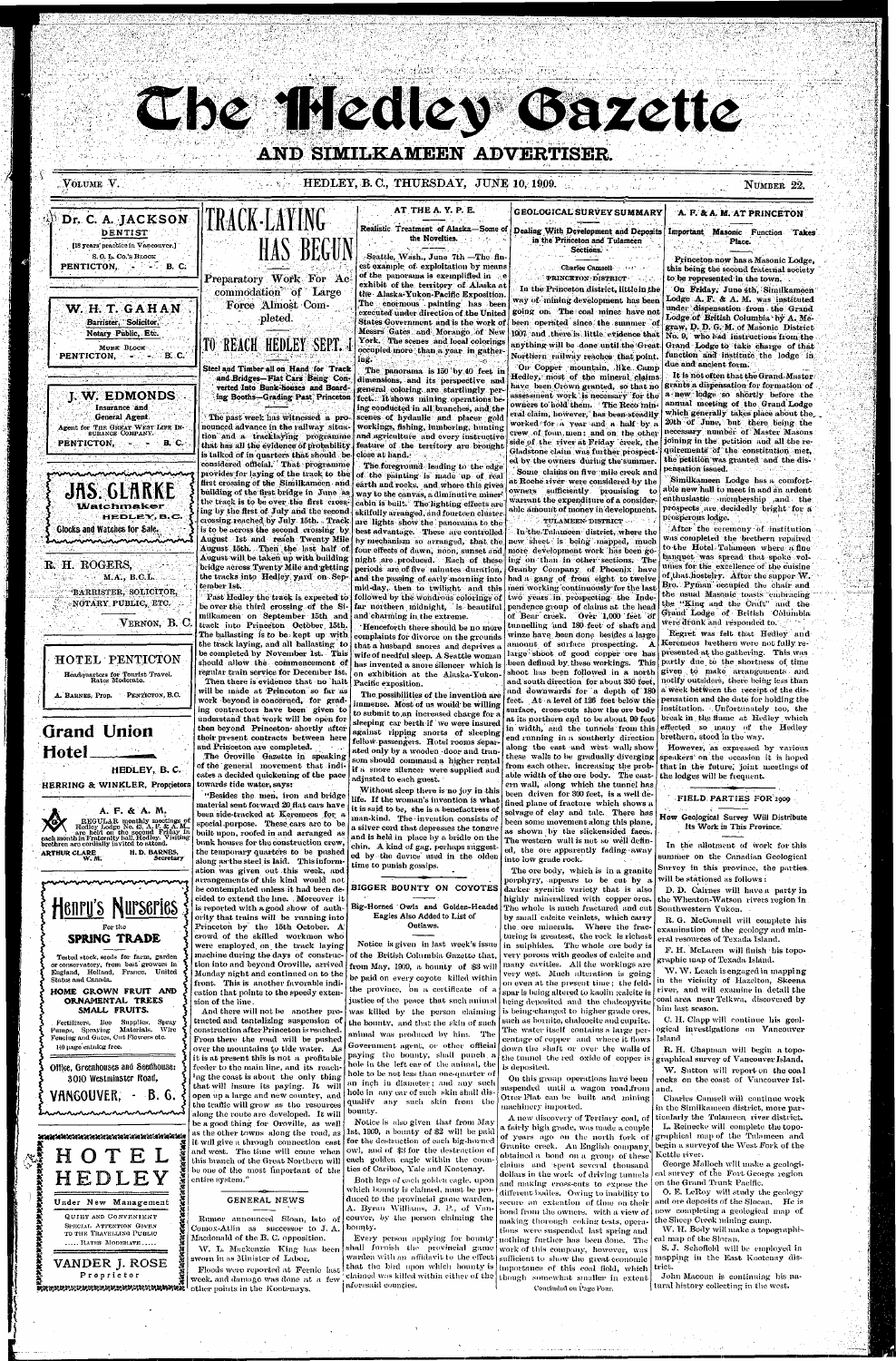## **Che Thedey Gazette AND SIMILKAMEEN ADVERTISER.**

### VOLUME V. HERE IT IN THE REPLEY, B. C., THURSDAY, JUNE 10, 1909. NUMBER 1998. NUMBER 22.

**\*v Dr. C. A. JACKSON**  DENTIST [18 years' practice in Vancouver.] S. 0. L. Co.'s BLOCK PENTICTON, - B.C.

#### Realistic Treatment of Alaska—Some of the Novelties.

Seattle, Wash., June 7th -The finest example of exploitation by means of the panorama is exemplified in  $\cdot$  e exhibit of the territory of Alaska at the Alaska-Yukon-Pacific Exposition. The enormous painting has been executed under direction of the United States Government and is the work of Messrs Gates and Morango of New York. The scenes and local colorings occupied more , than a year in gather-<br>ing

GEOLOGICAL SURVEY SUMMAR Y A. F. & A. M. AT PRINCETON

**TRICK-LAYING** 

**HAS BEGUN** 

The ballasting is to be kept up with the track laying, and all ballasting to be completed by November 1st. This should allow the commencement of regular train service for December 1st. Then there is evidence that no halt

or conservatory, from best growers in England, Holland, France, United States and Canada.

. Fertilizers, Bee Supplies, Spray Pumps, Spraying Materials, Fencing and Gates, Cut Flowers etc. 140 page catalog free.

Office, Greenhouses and Seedhouse: 3010 Westminster Road, **VANGOUVER,** B.G.

HOTEL PENTICTON

Headquarters for Tourist Travel. Rates Moderate. .

A. BARNES, Prop. PENTICTON, B.C.

A. F. & A. M. **REGULAR monthly meetings of Hedloy Lodge No. 43, A. F. & A. M.**, a. M., a. M. Tedlay in each month in Fraternity hall, Hedley. Visiting brethren are cordially invited to attend. ARTHUR CLARE H. D. BARNES,  $W, M$ ;  $S$  constants



R. H. ROGERS,

HEDLEY, B.C.

HERRING & WINKLER, Proprietors



HOME GROWN FRUIT AND ORNAMENTAL TREES SMALL FRUITS.

will be made at Princeton so far as work beyond is concerned, for grad-

ing contractors have been given to understand that work will be open for then beyond Princeton' shortly after their present contracts between here and Princeton are completed.

AT THE A. Y. P. E.



The panorama is 150 by 40 feet in dimensions, and its perspective and general coloring are startlingly perfect. It shows mining operations being conducted in all branches, and the scenes of hydaulic and placer gold workings, fishing, lumbering, hunting and agriculture and every instructive feature of the territory are brought

'Henceforth there should be no more complaints for divorce on the grounds that a husband snores and deprives a wife of needful sleep. A Seattle woman has invented a snore silencer which is on exhibition at the Alaska-Yukon-Pacific exposition.

,The Oroville Gazette in speaking of the general movement that indicates a decided quickening of the pace towards tide water, says:

The possibilities of the invention are immense. Most of us would be willing to submit to.an increased charge for a sleeping car berth if we were insured against ripping snorts of sleeping fellow passengers. Hotel rooms separated only by a wooden door and transom should command a higher rental if a snore silencer were supplied and adjusted to each guest. Without sleep there is no joy in this life. If the woman's invention is what it is said to be, she is a benefactress of man-kind. The-invention consists of a silver cord that depresses the tongue and is held in place by a bridle on the chin. A kind of gag, perhaps suggested by the device used in the olden time to punish gossips.

Dealing With Development and Deposits in the'Princeton and Tulameen Sections.

Northern railway reaches that point. On Copper mountain, like Camp Hedley, most of the mineral claims have been Crown granted, so that no

Charles Camsell<sup>.</sup> *'* PRINCETON-DISTRICT In the Princeton district, little in the way of mining development has been going on. The coal mines have not been operated since the summer of 1907 and there is little evidence that anything-will be done until the Great.

"Besides the men, iron and bridge material sent forward 20 flat cars have been side-tracked at Keremeos for a special purpose. These cars are to be built upon, roofed in and arranged as bunk houses for the construction crew, the temporary quarters to be pushed along as-the steel is laid. This information was given out this week, and arrangements of this kind would not be contemplated unless it had been decided to extend the line. Moreover it is reported with a good show of authority that trains will be running into Princeton by the 15th October. A' crowd of the skilled workmen who were employed on the track laying machine during the days of construction into and beyond Oroville, arrived Monday night and continued on to the front. This is another favorable indication that points to the speedy extension of the line.

And there will not be another protracted and tantalizing suspension of construction after Prince ton is reached. From there the road will be pushed over the mountains to tide water. As it is at present this is not a profitable feeder to the main line, and its reachmg the coast is about the only thing that will insure its paying. It will open up a large and new country, and the traffic will grow as the resources along the route are developed. It will be a good thing for Oroville, as well as the other towns along the road, as it will give a through connection east and west. The time will come when this branch of the Great Northern will be one of the most important of the entire system.'

#### **GENERAL NEWS**

Rumor announced Sloan, late of Comox-Atlin as successor to J.A. Macdonnld of the B. C. opposition.

W. L. Mackenzie King has been sworn in as Minister of Labor. Floods were reported at Fernie last week, and damage was done at  $\,$  a few  $\,$ other points in the Kootenays.

Notice is also given that from May 1st, 1909, a bounty of \$2 will be paid for the destruction of each big-horned owl, and of *\$'A* for the destruction of each golden eagle within the counties of Cariboo, Yale and Kootenay.

Every person applying for bounty shall furnish the provincial game warden with an affidavit to the effect sufficient to show the great economic that the bird upon which bounty is claimed was killed within either of the though somewhat smaller in extent aforesaid counties.



The foreground leading to the edge of the painting is made up of real earth and rocks, and where this gives way to the canvas, a diminutive miner' cabin is built. The lighting effects are skilfully arranged, and fourteen cluster best advantage. These are controlled by mechanism so arranged, that the four effects of dawn, noon, sunset and night are produced. Each of these periods are of five minutes duration, and the passing of early morning into mid-day, then to twilight and this followed by the wondrous colorings of

It is not often that the Grand Master grants a dispensation for formation of a new lodge so shortly before the annual meeting of the Grand Lodge which generally takes place about the. 20th of June, but there being the necessary number of Master Masons joining in the petition and all the requirements' of the constitution met, the petition was granted and the dispensation issued.

Similkameen Lodge has a comfortable new hall to meet in and an ardent enthusiastic membership ,and the prospects are decidedly bright for a prosperous lodge.

After the ceremony of institution was completed the brethern repaired to the Hotel-Tulameen where a fine banquet was spread that spoke volumes for the excellence of the cuisine of that hostelry. After the supper W. Bro. Pyman occupied the chair and the usual Masonic toasts embracing the "King and the Craft" and the Grand' Lodge of British Columbia were drunk and responded to.  $\mathbb{R}^{n\times n}$ 

Regret was felt that Hedley and Keremeos brethern were not fully re-

from each other, increasing the prob- that in the future, joint meetings of However, as expressed by various speakers" on the occasion it is hoped

FIELD PARTIES FOR 1909

In the allotment of work for this summer on the Canadian Geological Survey in this province, the parties. will be stationed as follows :

D. D. Cairnes will have a party in the Wheaton-Watson rivers region in Southwestern Yukon.

W. W. Leach is engaged in mapping in the vicinity of Hazelton, Skeena river, and will examine in detail the coal area near Telkwa, discovered by him last season.

W. Sutton will report on the coal rocks on the coast of Vancouver Island.

Charles Camsell will continue work in the Similkameen district, more particularly the Tulameen river district. L. Reinecke will complete the topographical map of the Tulameen and begin a surveyof the West Fork of the Kettle river.

TULAMEEN- DISTRICT •

far northern midnight, is beautiful pendence group of claims at the head In'the.Tulameen- district, where the new sheet is being mapped, much more development work has been going on thau in other • sections. The Granby Company of Phoenix have had a gang of from eight to twelve men working continuously for the last two years in prospecting- the Indeof Bear creek. Over 1,000 feet of tunnelling and 180 feet of shaft and winze have been done besides a large amount of surface prospecting.  $\mathbf A$ large shoot of good copper ore has presented at the gathering. This was been defined by these workings. This partly due to the shortness of time shoot has been followed in a north given to make arrangements and and south direction for about 350 feet, notify outsiders, there being less than and downwards for a depth of 180 a week between the receipt of the disfeet.  $A t$  a level of 126 feet below the **Pensation** and the date for holding the  $\frac{1}{2}$  is the cross-cuts show the ore body institution. Unfortunately too, the at its northern end to be about  $90$  feet break in the flume at Hedley which in width, and the tunnels from this effected so many of the Hedley end running in a southerly direction brethern, stood in the way. along the east and west wall, show these walls to be gradually diverging able width of the ore body. The east-<br>the lodges will be frequent. ern wall, along which the tunnel has been driven for 300 feet, is a well defined plane of fracture which shows a selvage of clay and talc. There has been some movement along this plane, as shown by the slickensided faces. The western wall is not so well defined, the ore apparently fading away into low grade rock. The ore body, which is in a granite porphyry, appears to be cut by a darker syenitic variety that is also highly mineralized with copper ores. The whole is much fractured and cut by small calcite veinlets, which carry the ore minerals. Where the fracturing is greatest, the rock is richest in sulphides. The whole ore body is very porous with geodes of calcite and many cavities. All the workings are very wet. Much alteration is going on even at the present time; the feldspar is being altered to kaolin ;calcite is being deposited and the chalcopyrite is being'changed to higher grade ores, such as bornite, chalcocite and cuprite. The water itself contains a large per-

assessment work is necessary for the owners to'hold them. The Reco mineral claim, however, has been-steadily worked for a year and a half by a crew of four men: and on the other side of the river at Friday creek, the Gladstone claim was further prospected by the owners during the'summer. Some claims on five mile creek and

at Roche river were considered by the owners sufficiently promising to warrant the expenditure of a considerable amount of money in development. Important Masonic Function Takes Place.

#### BIGGER BOUNTY ON COYOTES

Big-Horned Owls and Golden-Headed Eagles Also Added to List of Outlaws.

Notice is given in last week's issue of the British Columbia Gazette that, from May, 1909, a bounty of \$3 will be paid on every coyote killed within the province, 'on a certificate of a justice of the peace that such animal with the period the such annual was kinea by the person claiming the bounty, and that the skin of such animal was produced by him. The Government agent, or other official paying the bounty, shall punch a hole in the left car of the animal, the<br>hole to be not less than one-quarter of an inch in diameter; and auy such hole in any car of such skin shall disqualify any such skin from the bounty.

Both legs of each golden eagle, upon which bounty is claimed, must, be produced to the provincial game warden, A. Byran Williams, J. P., of Vancouver, by the person claiming the bounty.

centage of copper and where it flows down the shaft or over the walls of the tunnel the red oxide of copper is is deposited.

On this group operations have been suspended until a wagon road .from Otter Flat can be built and mining machinery imported.

Princeton now has a Masonic Lodge, this being the second fraternal society to be represented-in the town.

On Friday, June 4th, Similkameen Lodge A. F. & A. M. was instituted under dispensation from the Grand Lodge of British Columbia by A. Megraw, D. D. G. M. of Masonic District No. 9, who had instructions from the Grand Lodge to take charge of that function and institute the lodge in  $d$ ue and ancient form.

A new discovery of Tertiary: coal, of a fairly high grade, was made a couple of years ago on the north fork of Granite creek. An English company obtained a bond on a group of these claims and spent several thousand dollars in the work of driving tunnels and making cross-cuts to expose the different bodies. Owing to inability to secure an extention of time on their bond from the owners, with a view of making thorough coking tests, operations were suspended last spring and nothing further has been done. Tho work of this company, however, was importance of this coal field, which

How Geological Survey Will Distribute Its Work in This Province.

Concluded ou Pago Four.

R. G. McConnell will complete his examination of the geology and mineral resources of Texada Island.

F. H. McLaren will finish his topographic map of Texada Island.

C. II. Clapp will continue his geological investigations on Vancouver Island

R. H. Chapman will begin a topographical survey of Vancouver Island.

George Malloch will make a geological survey of the Fort George region on the Grand Trunk Pacific.

O. E. LcRoy will study the geology and ore deposits of the Sloean. He is now completing a geological map of the Sheep Creek mining camp.

W. H. Body will make a topographical map of the Sloean.

S. J. Schofield will be employed in mapping in the East Kootenay district.

John Macoun is continuing his natural history collecting in the west.

**\*** 

**L**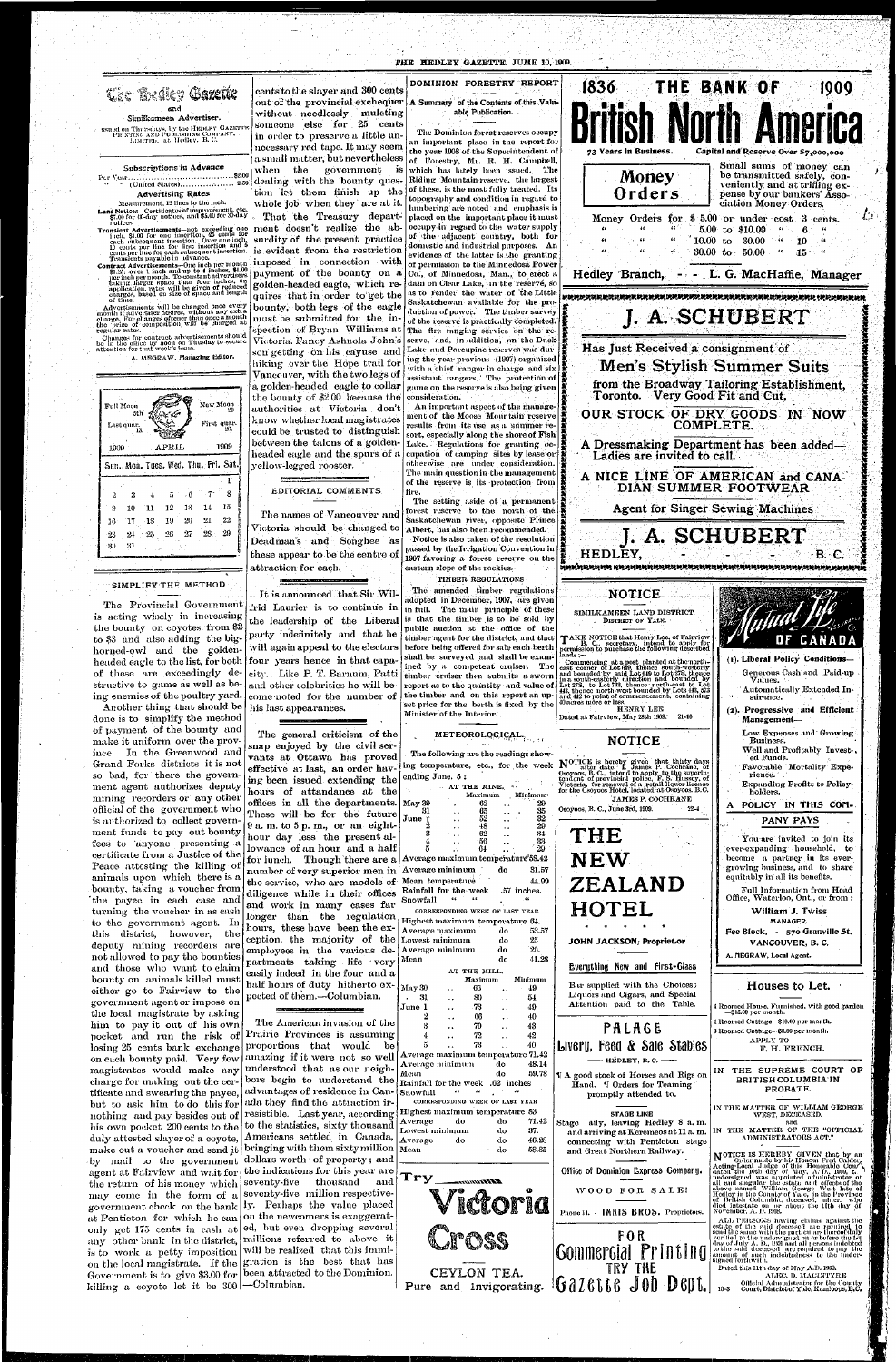#### THE HEDLEY GAZETTE, JUME 10, DOMINION FORESTRY REPOR cents to the slayer and 300 cents **The Bedley Cantle** out of the provincial exchequer | A Summary of the Contents of this Value without needlessly mulcting able Publication. Simikameen Advertiser. someone else for 25 cents sned on Thursdays, by the HEDLEY GAZETT<br>PRINTING AND PUBLISHING COMPANY,<br>LIMITED. at Jiedley, B. C. The Dominion forest reserves occup in order to preserve a little unan important place in the report fo necessary red tape. It may seem

Subscriptions in Advance

and

" (United States)...................... 2.50

**Advertising Rates** Measurement, 12 lines to the inch.

- Land Notices—Certificates of improvement, etc.<br>\$7.00 for 60-day notices, and \$5.00 for 30-day<br>notices.
- notices.<br>
Transient Advertisements—not exceeding one<br>
inch, \$1.00 for one insertion, \$5 cents for<br>
each subsequent insertion. Over one inch,<br>
10 cents per line for dirst insertion and 5<br>
cents per line for each subsequent
- 
- I reasons paysing in auvance.<br>
Contract Advertisements...One inch per month<br>
g1.25, over 1 inch and up to 4 inches, \$1.00<br>
per moh per month. To constant advertisers<br>
taking larger space than four inches, on<br>
application, of time.

Movertisements will be changed once every<br>month if advertiser desires, without any extra<br>eliarge. For changes oftener than once a month<br>the price of composition will be charged a regular rates.

Changes for contract advertisements should<br>be in the office by noon on Tuesday to secure<br>attention for that week's issue.

A. MEGRAW, Managing Editor.

| Full Moon | 5th               |         |       |           |       | New Moon<br>20                      |
|-----------|-------------------|---------|-------|-----------|-------|-------------------------------------|
|           | Last quar.<br>13. |         |       |           |       | First quar.<br>26.                  |
| 1900      |                   |         | APRIL |           |       | 1909                                |
|           |                   |         |       |           |       | Sun. Mon. Tues. Wed. Thu. Fri. Sat. |
|           |                   |         |       |           |       |                                     |
|           |                   |         |       |           |       | $\mathbf{1}^{\cdot}$                |
| 2         | -3                |         | 5.1   | $\cdot$ 6 |       |                                     |
| 9         | 10                | ΊI      | 12    | 13        | $1+$  | 15                                  |
| 16.       |                   | $17-18$ | 19    | 20        | 21    | $^{22}$                             |
| -23       | 24.               | - 25    | 26    | 27.       | $23-$ | 29                                  |

#### SIMPLIFY THE METHOD

The Provincial Government is acting wisely in increasing the bounty on coyotes from \$2 to \$3 and also adding the bighorned-owl and the goldenheaded eagle to the list, for both of these are exceedingly destructive to game as well as being enemies of the poultry yard.

Another thing that should be

a small matter, but nevertheless when the government is dealing with the bounty question let them finish up the whole job when they are at it. That the Treasury department doesn't realize the absurdity of the present practice is evident from the restriction  $\left| \text{imposed} \right|$  in connection with payment of the bounty on a golden-headed eagle, which requires that in order to get the bounty, both legs of the eagle must be submitted for the inspection of Bryan Williams at Victoria. Fancy Ashnola John's son getting on his cayuse and hiking over the Hope trail for Vancouver, with the two legs of a golden-headed eagle to collar the bounty of  $$2.00$  because the authorities at Victoria don't know whether local magistrates could be trusted to distinguish between the talons of a goldenheaded eagle and the spurs of a yellow-legged rooster.

### EDITORIAL COMMENTS

The names of Vancouver and Victoria should be changed to Deadman's and Songhee as these appear to be the centre of attraction for each.

It is announced that Sir Wilfrid Laurier is to continue in the leadership of the Liberal party indefinitely and that he will again appeal to the electors four years hence in that capacity. Like P. T. Barnum, Patti and other celebrities he will become noted for the number of his last appearances.

the year 1908 of the Superintendent o of Forestry, Mr. R. H. Campbell which has lately been issued. The Riding Mountain reserve, the largest of these, is the most fully treated. Its topography and condition in regard to lumbering are noted and emphasis is placed on the important place it must occupy in regard to the water supply of the adjacent country, both for domestic and industrial purposes. Ar evidence of the latter is the granting of permission to the Minnedosa Power Co., of Minnedosa, Man., to erect dam on Clear Lake, in the reserve, so as to render the water of the Little Saskatchewan available for the production of power. The timber survey of the reserve is practically completed. The fire ranging service on the reserve, and, in addition, on the Duck Lake and Porcupine reserves was during the year previous (1907) organized with a chief ranger in charge and six assistant rangers. The protection of game on the reserve is also being given consideration.

An important aspect of the management of the Moose Mountain reserve results from its use as a summer resort, especially along the shore of Fish Lake. Regulations for granting occupation of camping sites by lease or otherwise are under consideration. The main question in the management of the reserve is its protection from fire.

The setting aside of a permanent forest reserve to the north of the Saskatchewan river, opposite Prince Albert, has also been recommended. Notice is also taken of the resolution passed by the Irrigation Convention in 1907 favoring a forest reserve on the eastern slope of the rockies.

TIMBER REGULATIONS

The amended timber regulations dopted in December, 1907, are given in full. The main principle of these is that the timber is to be sold by public auction at the office of the timber agent for the district, and that before being offered for sale each berth shall be surveyed and shall be examined by a competent cruiser. The timber cruiser then submits a sworn  $\vert$ emover cruiser then submitts a sworn and south-easterly direction and bounded by<br>report as to the quantity and value of Lot 27S, to Lot 733, thence north-east to Lot<br>the timber and on this venert an unit 443, thence norththe timber and on this report an up-<br>start and the beat and the start of commencement, containing<br>set price for the berth is fixed by the  $\frac{42}{40}$  acros more or less.

| 1909.                 |                                                                                                                                                                                                                                                            |
|-----------------------|------------------------------------------------------------------------------------------------------------------------------------------------------------------------------------------------------------------------------------------------------------|
| Ť<br>į-<br>y          | THE BANK OF<br>1836<br>1909<br>British North America<br>73 Years in Business.<br>Capital and Reserve Over \$7,000,000                                                                                                                                      |
| е<br>t<br>×<br>ο<br>s | Small sums of money can<br><b>Money</b><br>be transmitted safely, con-<br>veniently and at trifling ex-<br>Orders<br>pense by our bankers' Asso-<br>ciation Money Orders.                                                                                  |
| t                     | Money Orders for<br>\$5.00 or under cost 3 cents.<br>5.00 to \$10.00<br>66<br>6.<br>10.00 to<br>46<br>30.00<br>"<br>10.<br>$30.00\,$ to $-50.00$<br>15 <sup>2</sup><br>66.<br>66.<br>46                                                                    |
|                       | Hedley Branch, - - L. G. MacHaffie, Manager                                                                                                                                                                                                                |
|                       | J. A. SCHUBERT                                                                                                                                                                                                                                             |
|                       | Has Just Received a consignment of<br><b>Men's Stylish Summer Suits</b><br>from the Broadway Tailoring Establishment,                                                                                                                                      |
|                       | Toronto. Very Good Fit and Cut.<br><b>OUR STOCK OF DRY GOODS IN</b><br><b>NOW</b><br>COMPLETE.                                                                                                                                                             |
|                       | A Dressmaking Department has been added—<br>Ladies are invited to call.                                                                                                                                                                                    |
|                       | A NICE LINE OF AMERICAN and CANA-<br>DIAN SUMMER FOOTWEAR                                                                                                                                                                                                  |
|                       | <b>Agent for Singer Sewing Machines</b>                                                                                                                                                                                                                    |
|                       | <b>SCHUBERT</b><br><b>HEDLEY.</b><br>В.<br>网络红果果树属 经税地地地部的船舶的船舶的船舶地地地地地的船舶的船地地地地地地地地地地地地地地地                                                                                                                                                                |
|                       |                                                                                                                                                                                                                                                            |
| lands :---            | NOTICE<br>SIMILKAMEEN LAND DISTRICT.<br>mm<br>DISTRICT OF YALE.<br><b>PAKE NOTICE that Henry Lee, of Fairview</b><br>Δ<br><b>1</b> B. C., secretary, intend to apply for permission to purchase the following described<br>(1). Liberal Policy Conditions. |
|                       | Commencing at a post planted at the north-<br>east, corner of Lot 619, thonce south-westerly<br>Generous Cash and Paid-up<br>bounded by -said Lot 619 to Lot 27S, thence                                                                                   |

súrance.

Automatically Extended In-

HENRY LEE

| done is to simplify the method                                                                                               |                                                                                                     | minister of the Interior.                                                             | Dated at Fairview, May 28th 1909.<br>$-21-10$                                                                                                                                                                                          | Management-                                                                                                                                                                                                                                                                                             |
|------------------------------------------------------------------------------------------------------------------------------|-----------------------------------------------------------------------------------------------------|---------------------------------------------------------------------------------------|----------------------------------------------------------------------------------------------------------------------------------------------------------------------------------------------------------------------------------------|---------------------------------------------------------------------------------------------------------------------------------------------------------------------------------------------------------------------------------------------------------------------------------------------------------|
| of payment of the bounty and                                                                                                 | The general criticism of the                                                                        | METEOROLOGICAL.                                                                       |                                                                                                                                                                                                                                        | Low Expenses and Growing                                                                                                                                                                                                                                                                                |
| make it uniform over the prov-                                                                                               | snap enjoyed by the civil ser-                                                                      |                                                                                       | <b>NOTICE</b>                                                                                                                                                                                                                          | Business.                                                                                                                                                                                                                                                                                               |
| ince. In the Greenwood and                                                                                                   | vants at Ottawa has proved                                                                          | The following are the readings show-                                                  |                                                                                                                                                                                                                                        | Well and Profitably Invest-.<br>ed Funds.                                                                                                                                                                                                                                                               |
| Grand Forks districts it is not                                                                                              | effective at last, an order hav-                                                                    | ing temperature, etc., for the week                                                   |                                                                                                                                                                                                                                        | Favorable Mortality Expe-                                                                                                                                                                                                                                                                               |
| so bad, for there the govern-                                                                                                | ing been issued extending the                                                                       | ending June. 5:                                                                       |                                                                                                                                                                                                                                        | rience.<br><b>Expanding Profits to Policy-</b>                                                                                                                                                                                                                                                          |
| ment agent authorizes deputy                                                                                                 | hours of attandance at the                                                                          | $\therefore$ AT THE MINE.<br>Maximum<br><b>Minimum</b>                                | NOTICE is hereby given that thirty days<br>of after date, I. James P. Cochrane, of<br>Osoyoos, B. C., intend to apply to the superint-<br>victoria, for renoval of a retail liquor licence<br>for the Osoyoos Hotel, located at Osoyoo | holders.                                                                                                                                                                                                                                                                                                |
| mining recorders or any other                                                                                                | offices in all the departments. May 39                                                              | 62<br>29<br>$\ddot{\phantom{0}}$                                                      | JAMES P. COCHRANE                                                                                                                                                                                                                      | POLICY IN THIS COM-                                                                                                                                                                                                                                                                                     |
| official of the government who                                                                                               | These will be for the future                                                                        | 65<br>$\ddot{\phantom{1}}$ .<br>$IJ$ une $J$<br>32<br>52                              | Osoyoos, B. C., June 3rd, 1909.<br>$22 - 1$                                                                                                                                                                                            |                                                                                                                                                                                                                                                                                                         |
| is authorized to collect govern-                                                                                             | $9$ a.m. to $5$ p.m., or an eight-                                                                  | 29<br>$\ddotsc$                                                                       |                                                                                                                                                                                                                                        | PANY PAYS                                                                                                                                                                                                                                                                                               |
| ment funds to pay out bounty                                                                                                 | hour day less the present al-                                                                       | 62<br>34<br>33<br>56                                                                  | THE                                                                                                                                                                                                                                    | You are invited to join its                                                                                                                                                                                                                                                                             |
| fees to anyone presenting a                                                                                                  | lowance of an hour and a half                                                                       | 29                                                                                    |                                                                                                                                                                                                                                        | ever-expanding household, to                                                                                                                                                                                                                                                                            |
| certificate from a Justice of the<br>Peace attesting the killing of                                                          | for lunch. Though there are a                                                                       | Average maximum temperature'58.42                                                     | ${\bf N}{\bf E}{\bf W}$                                                                                                                                                                                                                | become a partner in its ever-                                                                                                                                                                                                                                                                           |
| animals upon which there is a                                                                                                | number of very superior men in                                                                      | Average minimum<br>31.57<br>do.                                                       |                                                                                                                                                                                                                                        | growing business, and to share<br>equitably in all its benefits.                                                                                                                                                                                                                                        |
| bounty, taking a voucher from                                                                                                | the service, who are models of                                                                      | Mean temperature<br>44.99                                                             | ZEALAND                                                                                                                                                                                                                                |                                                                                                                                                                                                                                                                                                         |
| the payee in each case and                                                                                                   | diligence while in their offices                                                                    | Rainfall for the week<br>.57 inches.<br>-66.000<br>Snowfall                           |                                                                                                                                                                                                                                        | Full Information from Head<br>Office, Waterloo, Ont., or from:                                                                                                                                                                                                                                          |
| turning the voucher in as cash                                                                                               | and work in many cases far                                                                          | CORRESPONDING WEEK OF LAST YEAR                                                       | HOTEL                                                                                                                                                                                                                                  | William J. Twiss                                                                                                                                                                                                                                                                                        |
| to the government agent. In                                                                                                  | $longer$ than the regulation                                                                        | Highest maximum temperature 64.                                                       |                                                                                                                                                                                                                                        | MANAGER.                                                                                                                                                                                                                                                                                                |
| this district, however, the                                                                                                  | hours, these have been the ex-                                                                      | Average maximum<br>53.57<br>do                                                        |                                                                                                                                                                                                                                        | Fee Block, - 570 Granville St.                                                                                                                                                                                                                                                                          |
| deputy mining recorders are                                                                                                  | ception, the majority of the                                                                        | Lowest minimum<br>25<br>do                                                            | JOHN JACKSON; Propriet.or                                                                                                                                                                                                              | VANCOUVER, B. C.                                                                                                                                                                                                                                                                                        |
| not allowed to pay the bounties                                                                                              | employees in the various de-                                                                        | 26.<br>Average minimum<br>do<br>do<br>41.28<br>Mean                                   |                                                                                                                                                                                                                                        | A. MEGRAW, Local Agent.                                                                                                                                                                                                                                                                                 |
| and those who want to claim                                                                                                  | partments taking life very                                                                          | AT THE MILL.                                                                          | Everything New and First-Glass                                                                                                                                                                                                         |                                                                                                                                                                                                                                                                                                         |
| bounty on animals killed must                                                                                                | easily indeed in the four and a                                                                     | Maximum<br>Minimum                                                                    |                                                                                                                                                                                                                                        |                                                                                                                                                                                                                                                                                                         |
| either go to Fairview to the                                                                                                 | half hours of duty hitherto ex-<br>pected of them.—Columbian.                                       | May 30<br>-19<br>66<br>$\ddot{\phantom{0}}$                                           | Bar supplied with the Choicest<br>Liquors and Cigars, and Special                                                                                                                                                                      | Houses to Let.                                                                                                                                                                                                                                                                                          |
| government agent or impose on                                                                                                |                                                                                                     | 80<br>51<br>-31<br>$\ddot{\phantom{a}}$<br>49<br>73<br>June 1<br>$\ddot{\phantom{0}}$ | Attention paid to the Table.                                                                                                                                                                                                           | i Roomed House, Furnished, with good garden                                                                                                                                                                                                                                                             |
| the local magistrate by asking                                                                                               | اوا الواحد المعاملة المعاملة المحادثة المواريخ المناسبة المالية المالية المالية المالية المالية الم | $\sim$ $\sim$<br>00<br>40<br>$\ddot{\phantom{0}}$<br>$\ddotsc$                        |                                                                                                                                                                                                                                        | -\$15.00 per month.                                                                                                                                                                                                                                                                                     |
| him to pay it out of his own                                                                                                 | The American invasion of the                                                                        | 70<br>43<br>$\ddot{\phantom{a}}$<br>$\sim$ $\sim$                                     |                                                                                                                                                                                                                                        | 4 Roomed Cottage-\$10.00 per month.                                                                                                                                                                                                                                                                     |
|                                                                                                                              |                                                                                                     |                                                                                       |                                                                                                                                                                                                                                        |                                                                                                                                                                                                                                                                                                         |
| pocket and run the risk of                                                                                                   | Prairie Provinces is assuming                                                                       | $72\,$<br>42<br>$\ddot{\phantom{a}}$<br>$\sim$ $\sim$                                 | <b>PALAGE</b>                                                                                                                                                                                                                          | 3 Roomed Cottage-\$3.00 per month.<br>APPLY TO                                                                                                                                                                                                                                                          |
| losing 25 cents bank exchange                                                                                                | proportions that would be                                                                           | 73<br>40.                                                                             | <b>Feed &amp; Sale Stables</b><br>Livery,                                                                                                                                                                                              | F. H. FRENCH.                                                                                                                                                                                                                                                                                           |
| on each bounty paid. Very few                                                                                                | amazing if it were not so well                                                                      | Average maximum temperature 71.42<br>48.14<br>Average minimum<br>do                   | $---$ HEDLEY, B. C. $---$                                                                                                                                                                                                              |                                                                                                                                                                                                                                                                                                         |
| magistrates would make any                                                                                                   | understood that as our neigh-                                                                       | Mean<br>do<br>59.78                                                                   | If A good stock of Horses and Rigs on                                                                                                                                                                                                  | IN THE SUPREME COURT OF                                                                                                                                                                                                                                                                                 |
| charge for making out the cer-                                                                                               | bors begin to understand the                                                                        | Rainfall for the week .62 inches                                                      | Hand. If Orders for Teaming                                                                                                                                                                                                            | BRITISH COLUMBIA IN                                                                                                                                                                                                                                                                                     |
| tificate and swearing the payee,                                                                                             | advantages of residence in Can- Snowfall                                                            |                                                                                       | promptly attended to.                                                                                                                                                                                                                  | PROBATE.                                                                                                                                                                                                                                                                                                |
| but to ask him to do this for                                                                                                | ada they find the attraction ir-                                                                    | CORRESPONDING WEEK OF LAST YEAR<br>Highest maximum temperature 83                     | <b>STAGE LINE</b>                                                                                                                                                                                                                      | IN THE MATTER OF WILLIAM GEORGE                                                                                                                                                                                                                                                                         |
| nothing and pay besides out of                                                                                               | resistible. Last year, according                                                                    | 71.42<br>Average<br>do.<br>do                                                         | aily, leaving Hedley 8 a.m.<br>Stage                                                                                                                                                                                                   | WEST, DECEASED.<br>and                                                                                                                                                                                                                                                                                  |
| his own pocket 200 cents to the                                                                                              | to the statistics, sixty thousand                                                                   | Lowest minimum<br>37.<br>do                                                           | and arriving at Keremeos at 11 a.m.                                                                                                                                                                                                    | IN THE MATTER OF THE "OFFICIAL                                                                                                                                                                                                                                                                          |
| duly attested slayer of a coyote,                                                                                            | Americans settled in Canada,                                                                        | Average<br>46.28<br>do<br>do                                                          | connecting with Penticton stage                                                                                                                                                                                                        | ADMINISTRATORS' ACT."                                                                                                                                                                                                                                                                                   |
| make out a voucher and send it bringing with them sixty million $\lceil$ Mean                                                |                                                                                                     | 58.85<br>do                                                                           | and Great Northern Railway.                                                                                                                                                                                                            |                                                                                                                                                                                                                                                                                                         |
| by mail to the government dollars worth of property; and                                                                     |                                                                                                     |                                                                                       | Office of Dominion Express Company.                                                                                                                                                                                                    |                                                                                                                                                                                                                                                                                                         |
| agent at Fairview and wait for the indications for this year are                                                             |                                                                                                     | Try<br>Urterennung                                                                    |                                                                                                                                                                                                                                        |                                                                                                                                                                                                                                                                                                         |
| the return of his money which seventy-five thousand and                                                                      |                                                                                                     |                                                                                       | WOOD FOR SALE!                                                                                                                                                                                                                         |                                                                                                                                                                                                                                                                                                         |
| may come in the form of a seventy-five million respective-                                                                   |                                                                                                     |                                                                                       |                                                                                                                                                                                                                                        |                                                                                                                                                                                                                                                                                                         |
| government check on the bank  ly. Perhaps the value placed<br>at Penticton for which he can on the newcomers is exaggerat-   |                                                                                                     |                                                                                       | Phone H. - INNIS BROS. Proprietors.                                                                                                                                                                                                    | NOTICE IS HEREBY GIVEN that by an Order made by his Honour Fred Calder,<br>Acting-Local Judge of this Honour Fred Calder,<br>dated the 10th day of May, A.D., 1909, t.<br>mdersigned was appointed administrator or<br>all and singular th<br>November, A. D. 1908.                                     |
|                                                                                                                              |                                                                                                     |                                                                                       |                                                                                                                                                                                                                                        |                                                                                                                                                                                                                                                                                                         |
| only get 175 cents in cash at ed, but even dropping several<br>any other bank in the district, millions referred to above it |                                                                                                     |                                                                                       | F O R                                                                                                                                                                                                                                  |                                                                                                                                                                                                                                                                                                         |
| is to work a petty imposition will be realized that this immi-                                                               |                                                                                                     |                                                                                       |                                                                                                                                                                                                                                        |                                                                                                                                                                                                                                                                                                         |
| on the local magistrate. If the gration is the best that has                                                                 |                                                                                                     |                                                                                       |                                                                                                                                                                                                                                        | ALL PERSONS having claims against the<br>estate of the said deceased are required to<br>send the same with the particulars thereof duly<br>rerified to the undersigned on or before the Lst<br>day of July A. D., 1999 and all persons in<br>signed forthwith.<br>Dated this 11th day of May A.D. 1909. |
| Government is to give \$3.00 for been attracted to the Dominion.                                                             |                                                                                                     | CEYLON TEA.                                                                           | TRY<br>THE                                                                                                                                                                                                                             | ALEC. D. MACINTYRE                                                                                                                                                                                                                                                                                      |
| killing a coyote let it be 300 - Columbian.                                                                                  |                                                                                                     | Pure and Invigorating.                                                                | $D60t$ .<br> Gazette                                                                                                                                                                                                                   | Official Administrator for the County<br>Court, Districtef Yale, Kamloops, B.C.<br>$10 - 3$                                                                                                                                                                                                             |
|                                                                                                                              |                                                                                                     |                                                                                       |                                                                                                                                                                                                                                        |                                                                                                                                                                                                                                                                                                         |